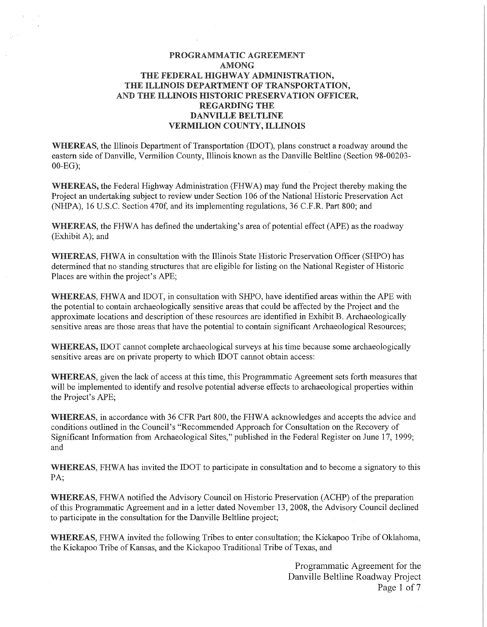# PROGRAMMATIC AGREEMENT AMONG THE FEDERAL HIGHWAY ADMINISTRATION. THE ILLINOIS DEPARTMENT OF TRANSPORTATION, AND THE ILLINOIS HISTORIC PRESERVATION OFFICER, REGARDING THE DANVILLE BELTLINE VERMILION COUNTY, ILLINOIS

WHEREAS, the Illinois Department of Transportation (IDOT), plans construct a roadway around the eastern side of Danville, Vermilion County, Illinois known as the Danville Beltline (Section 98-00203- 00-EG);

WHEREAS, the Federal Highway Administration (FHWA) may fund the Project thereby making the Project an undertaking subject to review under Section 106 of the National Historic Preservation Act (NHPA), 16 U.S.C. Section 470f, and its implementing regulations, 36 C.F.R. Part 800; and

WHEREAS, the FHWA has defined the undertaking's area of potential effect (APE) as the roadway (Exhibit A); and

WHEREAS, FHWA in consultation with the Illinois State Historic Preservation Officer (SHPO) has determined that no standing structures that are eligible for listing on the National Register of Historic Places are within the project's APE;

WHEREAS, FHWA and IDOT, in consultation with SHPO, have identified areas within the APE with the potential to contain archaeologically sensitive areas that could be affected by the Project and the approximate locations and description of these resources are identified in Exhibit B. Archaeologically sensitive areas are those areas that have the potential to contain significant Archaeological Resources;

WHEREAS, IDOT cannot complete archaeological surveys at his time because some archaeologically sensitive areas are on private property to which IDOT cannot obtain access:

WHEREAS, given the lack of access at this time, this Programmatic Agreement sets forth measures that will be implemented to identify and resolve potential adverse effects to archaeological properties within the Project's APE;

WHEREAS, in accordance with 36 CFR Part 800, the FHWA acknowledges and accepts the advice and conditions outlined in the Council's "Recommended Approach for Consultation on the Recovery of Significant Information from Archaeological Sites," published in the Federal Register on June 17, 1999; and

WHEREAS, FHWA has invited the IDOT to participate in consultation and to become a signatory to this PA;

WHEREAS, FHWA notified the Advisory Council on Historic Preservation (ACHP) of the preparation of this Programmatic Agreement and in a letter dated November 13, 2008, the Advisory Council declined to participate in the consultation for the Danville Beltline project;

WHEREAS, FHWA invited the following Tribes to enter consultation; the Kickapoo Tribe of Oklahoma, the Kickapoo Tribe of Kansas, and the Kickapoo Traditional Tribe of Texas, and

> Programmatic Agreement for the Danville Beltline Roadway Project Page 1 of 7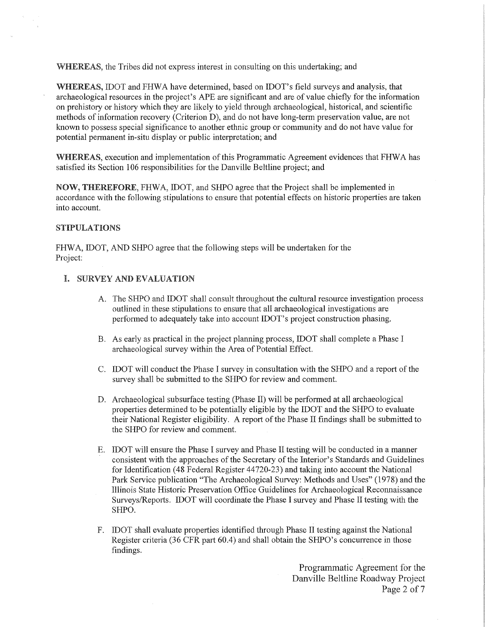WHEREAS, the Tribes did not express interest in consulting on this undertaking; and

WHEREAS, IDOT and FHWA have determined, based on IDOT's field surveys and analysis, that archaeological resources in the project's APE are significant and are of value chiefly for the infonnation on prehistory or history which they are likely to yield through archaeological, historical, and scientific methods of information recovery (Criterion D), and do not have long-term preservation value, are not known to possess special significance to another ethnic group or community and do not have value for potential permanent in-situ display or public interpretation; and

WHEREAS, execution and implementation of this Programmatic Agreement evidences that FHWA has satisfied its Section 106 responsibilities for the Danville Beltline project; and

NOW, THEREFORE, FHW A, IDOT, and SHPO agree that the Project shall be implemented in accordance with the following stipulations to ensure that potential effects on historic properties are taken into account.

## STIPULATIONS

FHWA, IDOT, AND SHPO agree that the following steps will be undertaken for the Project:

## I. SURVEY AND EVALUATION

- A. The SHPO and IDOT shall consult throughout the cultural resource investigation process outlined in these stipulations to ensure that all archaeological investigations are performed to adequately take into account IDOT's project construction phasing.
- B. As early as practical in the project planning process, IDOT shall complete a Phase I archaeological survey within the Area of Potential Effect.
- C. IDOT will conduct the Phase I survey in consultation with the SHPO and a report of the survey shall be submitted to the SHPO for review and comment.
- D. Archaeological subsurface testing (Phase II) will be performed at all archaeological properties determined to be potentially eligible by the IDOT and the SHPO to evaluate their National Register eligibility. A report of the Phase II findings shall be submitted to the SHPO for review and comment.
- E. IDOT will ensure the Phase I survey and Phase II testing will be conducted in a manner consistent with the approaches of the Secretary of the Interior's Standards and Guidelines for Identification (48 Federal Register 44720-23) and taking into account the National Park Service publication "The Archaeological Survey: Methods and Uses" (1978) and the Illinois State Historic Preservation Office Guidelines for Archaeological Reconnaissance Surveys/Reports. IDOT will coordinate the Phase I survey and Phase II testing with the SHPO.
- F. IDOT shall evaluate properties identified through Phase II testing against the National Register criteria (36 CFR part 60.4) and shall obtain the SHPO's concurrence in those findings.

Programmatic Agreement for the Danville Beltline Roadway Project Page 2 of 7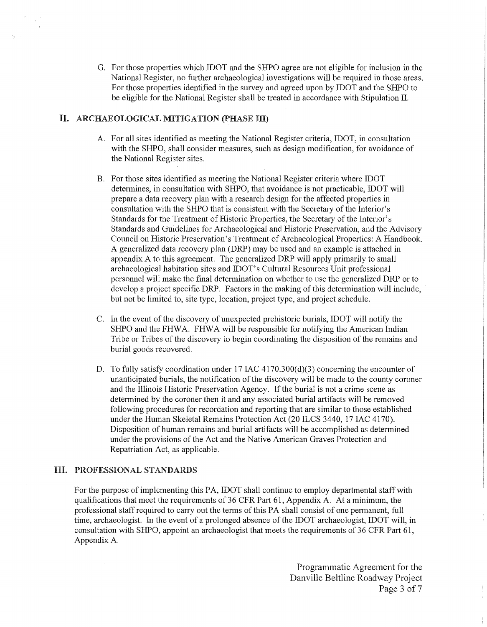G. For those properties which IDOT and the SHPO agree are not eligible for inclusion in the National Register, no further archaeological investigations will be required in those areas. For those properties identified in the survey and agreed upon by IDOT and the SHPO to be eligible for the National Register shall be treated in accordance with Stipulation II.

# II. ARCHAEOLOGICAL MITIGATION (PHASE III)

- A. For all sites identified as meeting the National Register criteria, IDOT, in consultation with the SHPO, shall consider measures, such as design modification, for avoidance of the National Register sites.
- B. For those sites identified as meeting the National Register criteria where IDOT determines, in consultation with SHPO, that avoidance is not practicable, IDOT will prepare a data recovery plan with a research design for the affected properties in consultation with the SHPO that is consistent with the Secretary of the Interior's Standards for the Treatment of Historic Properties, the Secretary of the Interior's Standards and Guidelines for Archaeological and Historic Preservation, and the Advisory Council on Historic Preservation's Treatment of Archaeological Properties: A Handbook. A generalized data recovery plan (DRP) may be used and an example is attached in appendix A to this agreement. The generalized DRP will apply primarily to small archaeological habitation sites and IDOT's Cultural Resources Unit professional personnel will make the final detennination on whether to use the generalized DRP or to develop a project specific DRP. Factors in the making of this determination will include, but not be limited to, site type, location, project type, and project schedule.
- C. In the event of the discovery of unexpected prehistoric burials, IDOT will notify the SHPO and the FHWA. FHWA will be responsible for notifying the American Indian Tribe or Tribes of the discovery to begin coordinating the disposition of the remains and burial goods recovered.
- D. To fully satisfy coordination under  $17$  IAC  $4170.300(d)(3)$  concerning the encounter of unanticipated burials, the notification of the discovery will be made to the county coroner and the Illinois Historic Preservation Agency. If the burial is not a crime scene as determined by the coroner then it and any associated burial artifacts will be removed following procedures for recordation and reporting that are similar to those established under the Human Skeletal Remains Protection Act (20 ILCS 3440, 17 IAC 4170). Disposition of human remains and burial artifacts will be accomplished as determined under the provisions of the Act and the Native American Graves Protection and Repatriation Act, as applicable.

### III. PROFESSIONAL STANDARDS

For the purpose of implementing this PA, IDOT shall continue to employ departmental staff with qualifications that meet the requirements of 36 CPR Part 61, Appendix A. At a minimum, the professional staff required to carry out the terms of this PA shall consist of one permanent, full time, archaeologist. In the event of a prolonged absence of the IDOT archaeologist, IDOT will, in consultation with SHPO, appoint an archaeologist that meets the requirements of 36 CPR Part 61, Appendix A.

> Programmatic Agreement for the Danville Beltline Roadway Project Page 3 of 7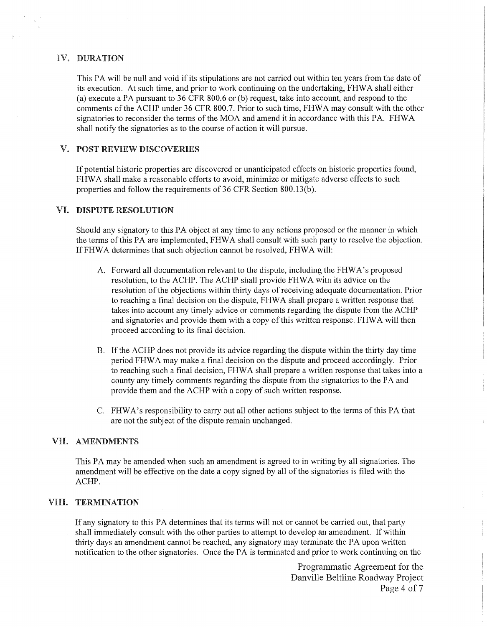## IV. DURATION

This PA will be null and void if its stipulations are not carried out within ten years from the date of its execution. At such time, and prior to work continuing on the undertaking, FHW A shall either (a) execute a PA pursuant to 36 CFR 800.6 or (b) request, take into account, and respond to the comments of the ACHP under 36 CFR 800.7. Prior to such time, FHW A may consult with the other signatories to reconsider the terms of the MOA and amend it in accordance with this PA. FHW A shall notify the signatories as to the course of action it will pursue.

# V. POST REVIEW DISCOVERIES

If potential historic properties are discovered or unanticipated effects on historic properties found, FHWA shall make a reasonable efforts to avoid, minimize or mitigate adverse effects to such properties and follow the requirements of 36 CFR Section 800.13(b).

### VI. DISPUTE RESOLUTION

Should any signatory to this PA object at any time to any actions proposed or the manner in which the terms of this PA are implemented, FHWA shall consult with such party to resolve the objection. If FHWA determines that such objection cannot be resolved, FHWA will:

- A. Forward all documentation relevant to the dispute, including the FHW A's proposed resolution, to the ACHP. The ACHP shall provide FHWA with its advice on the resolution of the objections within thirty days of receiving adequate documentation. Prior to reaching a final decision on the dispute, FHW A shall prepare a written response that takes into account any timely advice or comments regarding the dispute from the ACHP and signatories and provide them with a copy of this written response. FHW A will then proceed according to its final decision.
- B. If the ACHP does not provide its advice regarding the dispute within the thirty day time period FHW A may make a final decision on the dispute and proceed accordingly. Prior to reaching such a final decision, FHW A shall prepare a written response that takes into a county any timely comments regarding the dispute from the signatories to the PA and provide them and the ACHP with a copy of such written response.
- C. FHWA's responsibility to carry out all other actions subject to the terms of this PA that are not the subject of the dispute remain unchanged.

# VII. AMENDMENTS

This PA may be amended when such an amendment is agreed to in writing by all signatories. The amendment will be effective on the date a copy signed by all of the signatories is filed with the ACHP.

# VIII. TERMINATION

If any signatory to this PA determines that its terms will not or cannot be carried out, that party shall immediately consult with the other parties to attempt to develop an amendment. If within thirty days an amendment cannot be reached, any signatory may terminate the PA upon written notification to the other signatories. Once the PA is terminated and prior to work continuing on the

> Programmatic Agreement for the Danville Beltline Roadway Project Page 4 of 7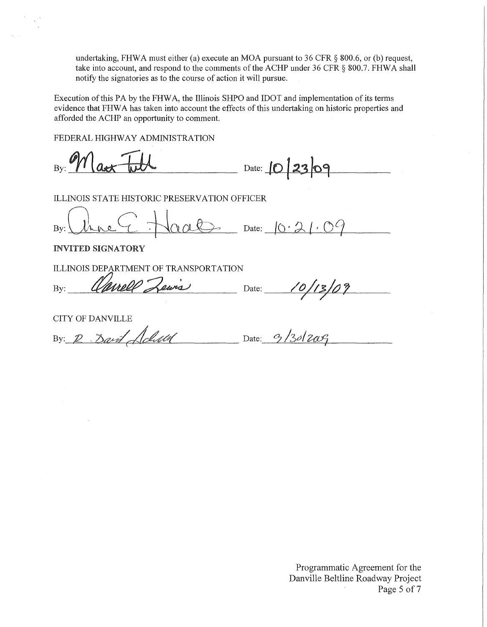undertaking, FHWA must either (a) execute an MOA pursuant to 36 CFR  $\S$  800.6, or (b) request, take into account, and respond to the comments of the ACHP under 36 CFR § 800.7. FHWA shall notify the signatories as to the course of action it will pursue.

Execution of this PA by the FHW A, the Illinois SHPO and IDOT and implementation of its terms evidence that FHW A has taken into account the effects of this undertaking on historic properties and afforded the ACHP an opportunity to comment.

FEDERAL HIGHWAY ADMINISTRATION

Date: **10 23 09**  $B_{\rm Y}$ :  $\gamma$   $\alpha$ 

ILLINOIS STATE HISTORIC PRESERVATION OFFICER

 $By:$  thre  $C$  Haals Date:  $0.21.09$ 

INVITED SIGNATORY

ILLINOIS DEPARTMENT OF TRANSPORTATION<br>By: Clarell Zewis Date: 10/13/09

CITY OF DANVILLE

By: 2 . *David Achulul* Date: 9/30/2009

Programmatic Agreement for the Danville Beltline Roadway Project Page 5 of 7  $\mathcal{A}^{\pm}$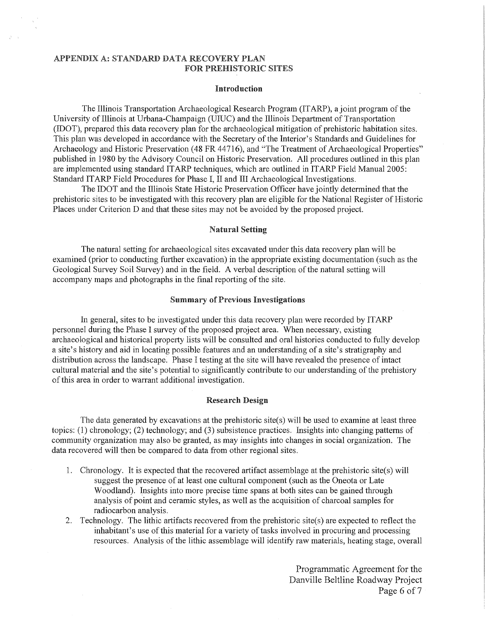## APPENDIX A: STANDARD DATA RECOVERY PLAN FOR PREHISTORIC SITES

#### Introduction

The Illinois Transportation Archaeological Research Program (IT ARP), a joint program of the University of Illinois at Urbana-Champaign (UIUC) and the Illinois Department of Transportation (IDOT), prepared this data recovery plan for the archaeological mitigation of prehistoric habitation sites. This plan was developed in accordance with the Secretary of the Interior's Standards and Guidelines for Archaeology and Historic Preservation (48 FR 44716), and "The Treatment of Archaeological Properties" published in 1980 by the Advisory Council on Historic Preservation. All procedures outlined in this plan are implemented using standard ITARP techniques, which are outlined in ITARP Field Manual 2005: Standard ITARP Field Procedures for Phase I, II and III Archaeological Investigations.

The IDOT and the Illinois State Historic Preservation Officer have jointly determined that the prehistoric sites to be investigated with this recovery plan are eligible for the National Register of Historic Places under Criterion D and that these sites may not be avoided by the proposed project.

#### Natural Setting

The natural setting for archaeological sites excavated under this data recovery plan will be examined (prior to conducting further excavation) in the appropriate existing documentation (such as the Geological Survey Soil Survey) and in the field. A verbal description of the natural setting will accompany maps and photographs in the final reporting of the site.

### Summary of Previous Investigations

In general, sites to be investigated under this data recovery plan were recorded by ITARP personnel during the Phase I survey of the proposed project area. When necessary, existing archaeological and historical property lists will be consulted and oral histories conducted to fully develop a site's history and aid in locating possible features and an understanding of a site's stratigraphy and distribution across the landscape. Phase I testing at the site will have revealed the presence of intact cultural material and the site's potential to significantly contribute to our understanding of the prehistory of this area in order to warrant additional investigation.

#### Research Design

The data generated by excavations at the prehistoric site(s) will be used to examine at least three topics: (1) chronology; (2) technology; and (3) subsistence practices. Insights into changing patterns of community organization may also be granted, as may insights into changes in social organization. The data recovered will then be compared to data from other regional sites.

- 1. Chronology. It is expected that the recovered artifact assemblage at the prehistoric site(s) will suggest the presence of at least one cultural component (such as the Oneota or Late Woodland). Insights into more precise time spans at both sites can be gained through analysis of point and ceramic styles, as well as the acquisition of charcoal samples for radiocarbon analysis.
- 2. Technology. The lithic artifacts recovered from the prehistoric site(s) are expected to reflect the inhabitant's use of this material for a variety of tasks involved in procuring and processing resources. Analysis of the lithic assemblage will identify raw materials, heating stage, overall

Programmatic Agreement for the Danville Beltline Roadway Project Page 6 of 7